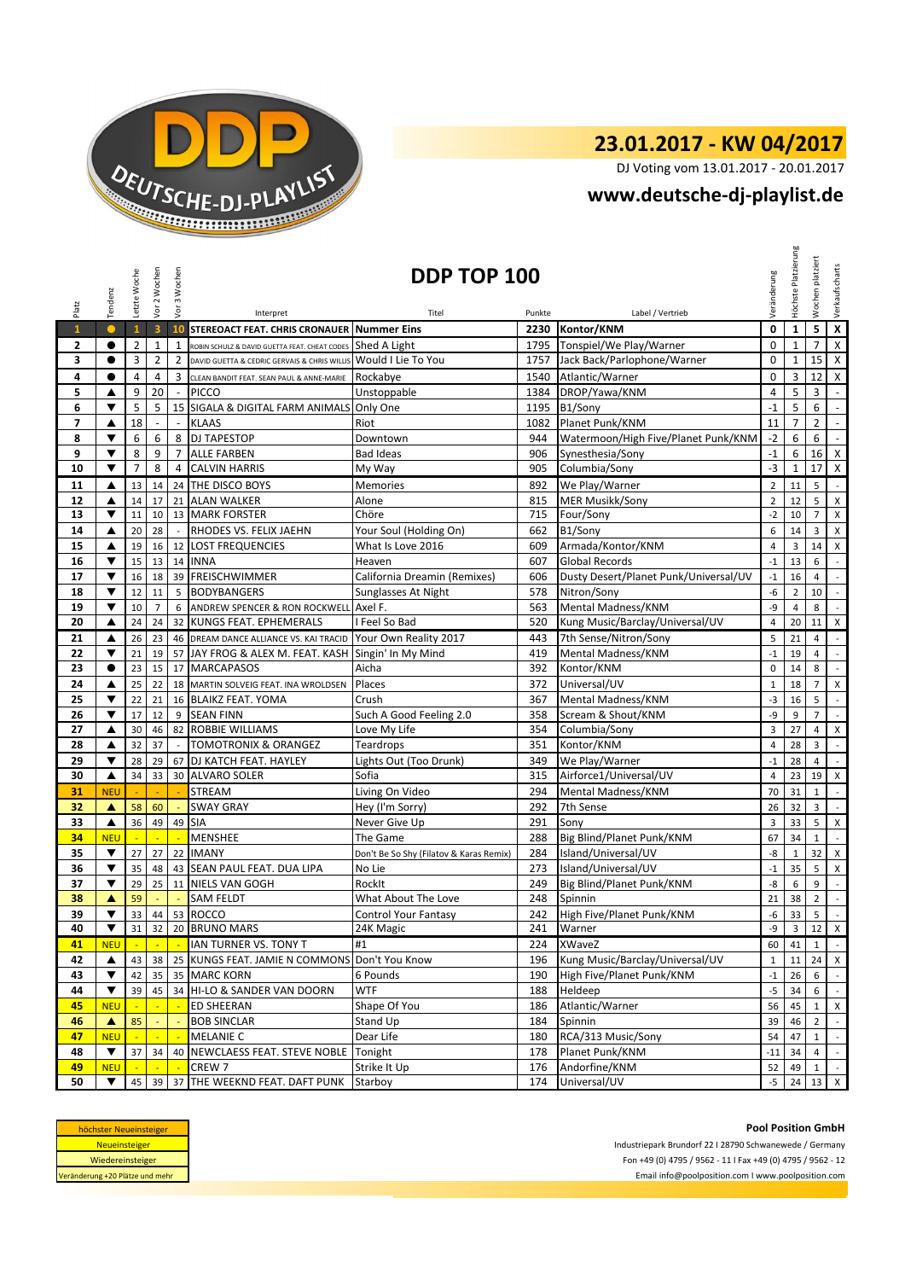

## **23.01.2017 - KW 04/2017**

DJ Voting vom 13.01.2017 - 20.01.2017

## **[w](http://www.deutsche-dj-playlist.de/)ww.deutsche-dj-playlist.de**

| Platz                                                                                                                                                                                                              | Tendenz              | Letzte Woche   | Vor 2 Wochen                | Vor 3 Wochen                | DDP TOP 100                                                  |                                         |        |                                       |                | Höchste Platzierung | platziert<br>Wochen | Verkaufscharts              |
|--------------------------------------------------------------------------------------------------------------------------------------------------------------------------------------------------------------------|----------------------|----------------|-----------------------------|-----------------------------|--------------------------------------------------------------|-----------------------------------------|--------|---------------------------------------|----------------|---------------------|---------------------|-----------------------------|
|                                                                                                                                                                                                                    |                      |                |                             |                             | Interpret                                                    | Titel                                   | Punkte | Label / Vertrieb                      | Veränderung    |                     |                     |                             |
| $\mathbf{1}$                                                                                                                                                                                                       | $\bullet$            | $\mathbf{1}$   | $\overline{\mathbf{3}}$     |                             | 10 STEREOACT FEAT. CHRIS CRONAUER Nummer Eins                |                                         | 2230   | Kontor/KNM                            | 0              | $\mathbf{1}$        | 5                   | $\pmb{\mathsf{x}}$          |
| 2                                                                                                                                                                                                                  | $\bullet$            | $\overline{2}$ | $\mathbf 1$                 | $\mathbf{1}$                | ROBIN SCHULZ & DAVID GUETTA FEAT. CHEAT CODES Shed A Light   |                                         | 1795   | Tonspiel/We Play/Warner               | $\mathbf 0$    | $\mathbf 1$         | $\overline{7}$      | $\mathsf X$                 |
| 3                                                                                                                                                                                                                  | $\bullet$            | 3              | $\overline{2}$              | $\overline{2}$              | DAVID GUETTA & CEDRIC GERVAIS & CHRIS WILLIS                 | Would I Lie To You                      | 1757   | Jack Back/Parlophone/Warner           | 0              | $\mathbf{1}$        | 15                  | X                           |
| 4                                                                                                                                                                                                                  | $\bullet$            | 4              | 4                           | 3                           | CLEAN BANDIT FEAT. SEAN PAUL & ANNE-MARIE                    | Rockabye                                | 1540   | Atlantic/Warner                       | $\mathbf 0$    | 3                   | 12                  | $\mathsf{X}$                |
| 5                                                                                                                                                                                                                  | ▲                    | 9              | 20                          |                             | <b>PICCO</b>                                                 | Unstoppable                             | 1384   | DROP/Yawa/KNM                         | 4              | 5                   | 3                   | $\blacksquare$              |
| 6                                                                                                                                                                                                                  | ▼                    | 5              | 5                           | 15                          | SIGALA & DIGITAL FARM ANIMALS                                | Only One                                | 1195   | B1/Sony                               | $-1$           | 5                   | 6                   | $\omega$                    |
| 7                                                                                                                                                                                                                  | ▲                    | 18             | $\bar{\phantom{a}}$         | $\overline{\phantom{a}}$    | <b>KLAAS</b>                                                 | Riot                                    | 1082   | Planet Punk/KNM                       | 11             | 7                   | $\overline{2}$      | $\sim$                      |
| 8                                                                                                                                                                                                                  | $\blacktriangledown$ | 6              | 6                           | 8                           | <b>DJ TAPESTOP</b>                                           | Downtown                                | 944    | Watermoon/High Five/Planet Punk/KNM   | $-2$           | 6                   | 6                   | $\omega$                    |
| 9                                                                                                                                                                                                                  | ▼                    | 8              | 9                           | $\overline{7}$              | <b>ALLE FARBEN</b>                                           | <b>Bad Ideas</b>                        | 906    | Synesthesia/Sony                      | $-1$           | 6                   | 16                  | X                           |
| 10                                                                                                                                                                                                                 | ▼                    | $\overline{7}$ | 8                           | 4                           | <b>CALVIN HARRIS</b>                                         | My Way                                  | 905    | Columbia/Sony                         | $-3$           | 1                   | 17                  | X                           |
| 11                                                                                                                                                                                                                 | ▲                    | 13             | 14                          | 24                          | THE DISCO BOYS                                               | <b>Memories</b>                         | 892    | We Play/Warner                        | $\overline{2}$ | 11                  | 5                   | $\mathcal{L}_{\mathcal{A}}$ |
| 12                                                                                                                                                                                                                 | ▲                    | 14             | 17                          | 21                          | <b>ALAN WALKER</b>                                           | Alone                                   | 815    | <b>MER Musikk/Sony</b>                | $\overline{2}$ | 12                  | 5                   | X                           |
| 13                                                                                                                                                                                                                 | ▼                    | 11             | 10                          | 13                          | <b>MARK FORSTER</b>                                          | Chöre                                   | 715    | Four/Sony                             | $-2$           | 10                  | $\overline{7}$      | X                           |
| 14                                                                                                                                                                                                                 | ▲                    | 20             | 28                          | $\overline{a}$              | RHODES VS. FELIX JAEHN                                       | Your Soul (Holding On)                  | 662    | B1/Sony                               | 6              | 14                  | 3                   | X                           |
| 15                                                                                                                                                                                                                 | ▲                    | 19             | 16                          | 12                          | <b>LOST FREQUENCIES</b>                                      | What Is Love 2016                       | 609    | Armada/Kontor/KNM                     | $\overline{4}$ | 3                   | 14                  | X                           |
| 16                                                                                                                                                                                                                 | ▼                    | 15             | 13                          | 14                          | <b>INNA</b>                                                  | Heaven                                  | 607    | <b>Global Records</b>                 | $-1$           | 13                  | 6                   | $\mathcal{L}_{\mathcal{A}}$ |
| 17                                                                                                                                                                                                                 | ▼                    | 16             | 18                          | 39                          | <b>FREISCHWIMMER</b>                                         | California Dreamin (Remixes)            | 606    | Dusty Desert/Planet Punk/Universal/UV | $-1$           | 16                  | $\overline{4}$      | $\blacksquare$              |
| 18                                                                                                                                                                                                                 | ▼                    | 12             | 11                          | 5                           | <b>BODYBANGERS</b>                                           | Sunglasses At Night                     | 578    | Nitron/Sony                           | -6             | $\overline{2}$      | 10                  | $\mathcal{L}_{\mathcal{A}}$ |
| 19                                                                                                                                                                                                                 | ▼                    | 10             | $\overline{7}$              | 6                           | ANDREW SPENCER & RON ROCKWELL                                | Axel F.                                 | 563    | Mental Madness/KNM                    | -9             | 4                   | 8                   | $\overline{\phantom{a}}$    |
| 20                                                                                                                                                                                                                 | ▲                    | 24             | 24                          | 32                          | <b>KUNGS FEAT. EPHEMERALS</b>                                | I Feel So Bad                           | 520    | Kung Music/Barclay/Universal/UV       | $\overline{4}$ | 20                  | 11                  | X                           |
| 21                                                                                                                                                                                                                 | ▲                    | 26             | 23                          |                             | 46 DREAM DANCE ALLIANCE VS. KAI TRACID Your Own Reality 2017 |                                         | 443    | 7th Sense/Nitron/Sony                 | 5              | 21                  | $\overline{4}$      | $\mathcal{L}^{\mathcal{A}}$ |
| 22                                                                                                                                                                                                                 | ▼                    | 21             | 19                          | 57                          | JAY FROG & ALEX M. FEAT. KASH Singin' In My Mind             |                                         | 419    | Mental Madness/KNM                    | $-1$           | 19                  | $\overline{4}$      | $\mathcal{L}_{\mathcal{A}}$ |
| 23                                                                                                                                                                                                                 | $\bullet$            | 23             | 15                          | 17                          | <b>MARCAPASOS</b>                                            | Aicha                                   | 392    | Kontor/KNM                            | $\mathbf 0$    | 14                  | 8                   | $\mathbb{L}$                |
| 24                                                                                                                                                                                                                 | ▲                    | 25             | 22                          |                             | 18 MARTIN SOLVEIG FEAT. INA WROLDSEN                         | Places                                  | 372    | Universal/UV                          | $\mathbf{1}$   | 18                  | $\overline{7}$      | X                           |
| 25                                                                                                                                                                                                                 | ▼                    | 22             | 21                          |                             | 16 BLAIKZ FEAT. YOMA                                         | Crush                                   | 367    | Mental Madness/KNM                    | $-3$           | 16                  | 5                   | $\overline{\phantom{a}}$    |
| 26                                                                                                                                                                                                                 | ▼                    | 17             | 12                          | 9                           | <b>SEAN FINN</b>                                             | Such A Good Feeling 2.0                 | 358    | Scream & Shout/KNM                    | -9             | 9                   | $\overline{7}$      | $\overline{\phantom{a}}$    |
| 27                                                                                                                                                                                                                 | ▲                    | 30             | 46                          | 82                          | <b>ROBBIE WILLIAMS</b>                                       | Love My Life                            | 354    | Columbia/Sony                         | 3              | 27                  | $\overline{4}$      | X                           |
| 28                                                                                                                                                                                                                 | ▲                    | 32             | 37                          | $\mathcal{L}_{\mathcal{A}}$ | <b>TOMOTRONIX &amp; ORANGEZ</b>                              | Teardrops                               | 351    | Kontor/KNM                            | $\overline{4}$ | 28                  | 3                   | $\mathbb{L}$                |
| 29                                                                                                                                                                                                                 | ▼                    | 28             | 29                          | 67                          | <b>DJ KATCH FEAT. HAYLEY</b>                                 | Lights Out (Too Drunk)                  | 349    | We Play/Warner                        | $-1$           | 28                  | 4                   | $\mathcal{L}_{\mathcal{A}}$ |
| 30                                                                                                                                                                                                                 | ▲                    | 34             | 33                          | 30                          | <b>ALVARO SOLER</b>                                          | Sofia                                   | 315    | Airforce1/Universal/UV                | $\overline{4}$ | 23                  | 19                  | X                           |
| 31                                                                                                                                                                                                                 | <b>NEU</b>           |                |                             |                             | STREAM                                                       | Living On Video                         | 294    | Mental Madness/KNM                    | 70             | 31                  | $\mathbf{1}$        | $\mathbb{Z}^2$              |
| 32                                                                                                                                                                                                                 | ▲                    | 58             | 60                          |                             | <b>SWAY GRAY</b>                                             | Hey (I'm Sorry)                         | 292    | 7th Sense                             | 26             | 32                  | 3                   | $\overline{\phantom{a}}$    |
| 33                                                                                                                                                                                                                 | ▲                    | 36             | 49                          | 49                          | <b>SIA</b>                                                   | Never Give Up                           | 291    | Sony                                  | 3              | 33                  | 5                   | X                           |
| 34                                                                                                                                                                                                                 | <b>NEU</b>           |                |                             |                             | MENSHEE                                                      | The Game                                | 288    | Big Blind/Planet Punk/KNM             | 67             | 34                  | $\mathbf{1}$        | $\overline{\phantom{a}}$    |
| 35                                                                                                                                                                                                                 | ▼                    | 27             | 27                          | 22                          | <b>IMANY</b>                                                 | Don't Be So Shy (Filatov & Karas Remix) | 284    | Island/Universal/UV                   | -8             | $\mathbf{1}$        | 32                  | X                           |
| 36                                                                                                                                                                                                                 | ▼                    | 35             | 48                          |                             | 43 SEAN PAUL FEAT. DUA LIPA                                  | No Lie                                  | 273    | Island/Universal/UV                   | $-1$           | 35                  | 5                   | X                           |
| 37                                                                                                                                                                                                                 | ▼                    | 29             | 25                          |                             | 11 NIELS VAN GOGH                                            | RockIt                                  | 249    | Big Blind/Planet Punk/KNM             | -8             | 6                   | 9                   | $\mathcal{L}$               |
| 38                                                                                                                                                                                                                 | ▲                    | 59             |                             |                             | <b>SAM FELDT</b>                                             | What About The Love                     | 248    | Spinnin                               | 21             | 38                  | $\overline{2}$      | $\mathcal{L}_{\mathcal{A}}$ |
| 39                                                                                                                                                                                                                 | ▼                    | 33             | 44                          |                             | 53 ROCCO                                                     | Control Your Fantasy                    | 242    | High Five/Planet Punk/KNM             | -6             | 33                  | 5                   | $\overline{\phantom{a}}$    |
| 40                                                                                                                                                                                                                 | ▼                    | 31             |                             |                             | 32 20 BRUNO MARS                                             | 24K Magic                               | 241    | Warner                                | -9             | س                   | 12 X                |                             |
| 41                                                                                                                                                                                                                 | <b>NEU</b>           | $\blacksquare$ | $\mathcal{L}_{\mathcal{C}}$ | $\omega$                    | IAN TURNER VS. TONY T                                        | #1                                      | 224    | XWaveZ                                | 60             | 41                  | $\mathbf{1}$        | $\sim$                      |
| 42                                                                                                                                                                                                                 | ▲                    | 43             | 38                          | 25                          | KUNGS FEAT. JAMIE N COMMONS Don't You Know                   |                                         | 196    | Kung Music/Barclay/Universal/UV       | $\mathbf{1}$   | 11                  | 24                  | X                           |
| 43                                                                                                                                                                                                                 | ▼                    | 42             | 35                          |                             | 35 MARC KORN                                                 | 6 Pounds                                | 190    | High Five/Planet Punk/KNM             | -1             | 26                  | 6                   |                             |
| 44                                                                                                                                                                                                                 | ▼                    | 39             | 45                          | 34                          | HI-LO & SANDER VAN DOORN                                     | <b>WTF</b>                              | 188    | Heldeep                               | -5             | 34                  | 6                   | $\mathbb{Z}^{\mathbb{Z}}$   |
| 45                                                                                                                                                                                                                 | <b>NEU</b>           |                |                             |                             | ED SHEERAN                                                   | Shape Of You                            | 186    | Atlantic/Warner                       | 56             | 45                  | $\mathbf{1}$        | X                           |
| 46                                                                                                                                                                                                                 | ▲                    | 85             |                             |                             | <b>BOB SINCLAR</b>                                           | Stand Up                                | 184    | Spinnin                               | 39             | 46                  | $\overline{2}$      |                             |
| 47                                                                                                                                                                                                                 | <b>NEU</b>           |                | $\mathbb{Z}$                | $\blacksquare$              | MELANIE C                                                    | Dear Life                               | 180    | RCA/313 Music/Sony                    | 54             | 47                  | $\mathbf{1}$        | $\mathcal{L}^{\pm}$         |
| 48                                                                                                                                                                                                                 | ▼                    | 37             | 34                          | 40                          | NEWCLAESS FEAT. STEVE NOBLE                                  | Tonight                                 | 178    | Planet Punk/KNM                       | $-11$          | 34                  | 4                   | $\sim$                      |
| 49                                                                                                                                                                                                                 | <b>NEU</b>           |                |                             |                             | CREW 7                                                       | Strike It Up                            | 176    | Andorfine/KNM                         | 52             | 49                  | $\mathbf{1}$        | $\overline{\phantom{a}}$    |
| 50                                                                                                                                                                                                                 | ▼                    | 45             | 39                          | 37                          | THE WEEKND FEAT. DAFT PUNK                                   | Starboy                                 | 174    | Universal/UV                          | $-5$           | 24                  | 13                  | $\mathsf{x}$                |
| <b>Pool Position GmbH</b><br>höchster Neueinsteiger<br>Neueinsteiger<br>Industriepark Brundorf 22 I 28790 Schwanewede / Germany<br>Fon +49 (0) 4795 / 9562 - 11   Fax +49 (0) 4795 / 9562 - 12<br>Wiedereinsteiger |                      |                |                             |                             |                                                              |                                         |        |                                       |                |                     |                     |                             |
| Veränderung +20 Plätze und mehr<br>Email info@poolposition.com I www.poolposition.com                                                                                                                              |                      |                |                             |                             |                                                              |                                         |        |                                       |                |                     |                     |                             |

| höchster Neueinsteiger          |  |
|---------------------------------|--|
| <b>Neueinsteiger</b>            |  |
| Wiedereinsteiger                |  |
| Veränderung +20 Plätze und mehr |  |